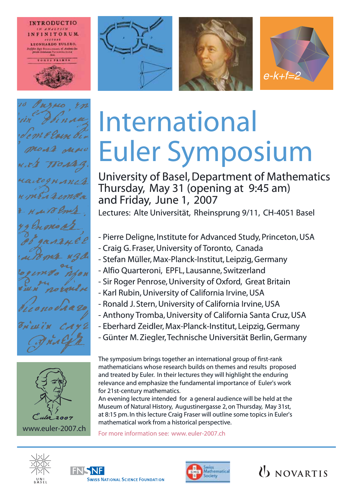











## International Euler Symposium

University of Basel, Department of Mathematics Thursday, May 31 (opening at 9:45 am) and Friday, June 1, 2007 Lectures: Alte Universität, Rheinsprung 9/11, CH-4051 Basel

- Pierre Deligne, Institute for Advanced Study, Princeton, USA
- Craig G. Fraser, University of Toronto, Canada
- Stefan Müller, Max-Planck-Institut, Leipzig, Germany
- Alfio Quarteroni, EPFL, Lausanne, Switzerland
- Sir Roger Penrose, University of Oxford, Great Britain
- Karl Rubin, University of California Irvine, USA
- Ronald J. Stern, University of California Irvine, USA
- Anthony Tromba, University of California Santa Cruz, USA
- Eberhard Zeidler, Max-Planck-Institut, Leipzig, Germany
- Günter M. Ziegler, Technische Universität Berlin, Germany

The symposium brings together an international group of first-rank mathematicians whose research builds on themes and results proposed and treated by Euler. In their lectures they will highlight the enduring relevance and emphasize the fundamental importance of Euler's work for 21st-century mathematics.

An evening lecture intended for a general audience will be held at the Museum of Natural History, Augustinergasse 2, on Thursday, May 31st, at 8:15 pm. In this lecture Craig Fraser will outline some topics in Euler's mathematical work from a historical perspective.

For more information see: www. euler-2007.ch